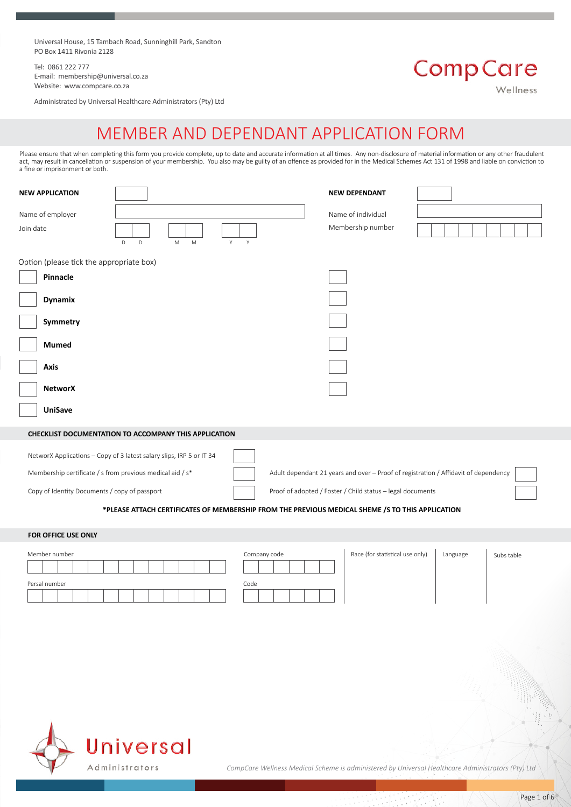Universal House, 15 Tambach Road, Sunninghill Park, Sandton PO Box 1411 Rivonia 2128

Tel: 0861 222 777 E-mail: membership@universal.co.za Website: www.compcare.co.za

Administrated by Universal Healthcare Administrators (Pty) Ltd

# **Comp Care**

Wellness

# MEMBER AND DEPENDANT APPLICATION FORM

Please ensure that when completing this form you provide complete, up to date and accurate information at all times. Any non-disclosure of material information or any other fraudulent act, may result in cancellation or suspension of your membership. You also may be guilty of an offence as provided for in the Medical Schemes Act 131 of 1998 and liable on conviction to a fine or imprisonment or both.

| <b>NEW APPLICATION</b>                                                                                                                         |                                                                                                                                                                          |                      | <b>NEW DEPENDANT</b>                                                                                                                              |                        |
|------------------------------------------------------------------------------------------------------------------------------------------------|--------------------------------------------------------------------------------------------------------------------------------------------------------------------------|----------------------|---------------------------------------------------------------------------------------------------------------------------------------------------|------------------------|
| Name of employer<br>Join date                                                                                                                  | $\mathsf D$<br>D<br>Y<br>M<br>M                                                                                                                                          | $\mathsf{Y}$         | Name of individual<br>Membership number                                                                                                           |                        |
| Option (please tick the appropriate box)<br>Pinnacle<br><b>Dynamix</b><br>Symmetry<br><b>Mumed</b><br>Axis<br><b>NetworX</b><br><b>UniSave</b> |                                                                                                                                                                          |                      |                                                                                                                                                   |                        |
|                                                                                                                                                | CHECKLIST DOCUMENTATION TO ACCOMPANY THIS APPLICATION                                                                                                                    |                      |                                                                                                                                                   |                        |
| Membership certificate / s from previous medical aid / s*<br>Copy of Identity Documents / copy of passport                                     | NetworX Applications - Copy of 3 latest salary slips, IRP 5 or IT 34<br>*PLEASE ATTACH CERTIFICATES OF MEMBERSHIP FROM THE PREVIOUS MEDICAL SHEME /S TO THIS APPLICATION |                      | Adult dependant 21 years and over - Proof of registration / Affidavit of dependency<br>Proof of adopted / Foster / Child status - legal documents |                        |
| FOR OFFICE USE ONLY                                                                                                                            |                                                                                                                                                                          |                      |                                                                                                                                                   |                        |
| Member number<br>Persal number                                                                                                                 |                                                                                                                                                                          | Company code<br>Code | Race (for statistical use only)                                                                                                                   | Language<br>Subs table |



*CompCare Wellness Medical Scheme is administered by Universal Healthcare Administrators (Pty) Ltd*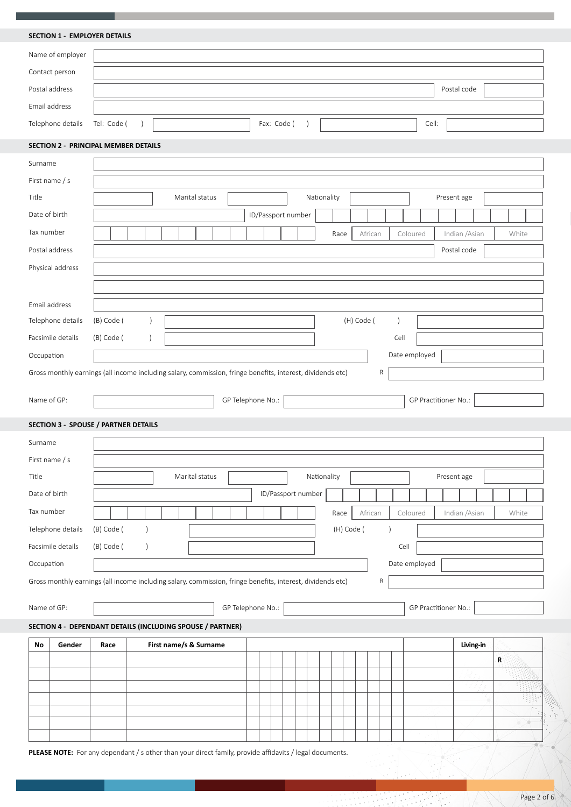**SECTION 1 - EMPLOYER DETAILS**

| Name of employer              |  |             |       |             |
|-------------------------------|--|-------------|-------|-------------|
| Contact person                |  |             |       |             |
| Postal address                |  |             |       | Postal code |
| Email address                 |  |             |       |             |
| Telephone details Tel: Code ( |  | Fax: Code ( | Cell: |             |

# **SECTION 2 - PRINCIPAL MEMBER DETAILS**

| Surname        |                                                                                                            |  |            |  |           |                        |  |                |  |  |                    |                    |             |            |            |           |           |                      |                |           |   |          |
|----------------|------------------------------------------------------------------------------------------------------------|--|------------|--|-----------|------------------------|--|----------------|--|--|--------------------|--------------------|-------------|------------|------------|-----------|-----------|----------------------|----------------|-----------|---|----------|
| First name / s |                                                                                                            |  |            |  |           |                        |  |                |  |  |                    |                    |             |            |            |           |           |                      |                |           |   |          |
| Title          |                                                                                                            |  |            |  |           |                        |  | Marital status |  |  |                    |                    | Nationality |            |            |           |           |                      | Present age    |           |   |          |
| Date of birth  |                                                                                                            |  |            |  |           |                        |  |                |  |  | ID/Passport number |                    |             |            |            |           |           |                      |                |           |   |          |
| Tax number     |                                                                                                            |  |            |  |           |                        |  |                |  |  |                    |                    |             | Race       |            | African   |           | Coloured             | Indian / Asian |           |   | White    |
|                | Postal address                                                                                             |  |            |  |           |                        |  |                |  |  |                    |                    |             |            |            |           |           |                      | Postal code    |           |   |          |
|                | Physical address                                                                                           |  |            |  |           |                        |  |                |  |  |                    |                    |             |            |            |           |           |                      |                |           |   |          |
|                |                                                                                                            |  |            |  |           |                        |  |                |  |  |                    |                    |             |            |            |           |           |                      |                |           |   |          |
| Email address  |                                                                                                            |  |            |  |           |                        |  |                |  |  |                    |                    |             |            |            |           |           |                      |                |           |   |          |
|                | Telephone details                                                                                          |  | (B) Code ( |  |           |                        |  |                |  |  |                    |                    |             |            | (H) Code ( |           | $\lambda$ |                      |                |           |   |          |
|                | Facsimile details                                                                                          |  | (B) Code ( |  | $\lambda$ |                        |  |                |  |  |                    |                    |             |            |            |           | Cell      |                      |                |           |   |          |
| Occupation     |                                                                                                            |  |            |  |           |                        |  |                |  |  |                    |                    |             |            |            |           |           | Date employed        |                |           |   |          |
|                | Gross monthly earnings (all income including salary, commission, fringe benefits, interest, dividends etc) |  |            |  |           |                        |  |                |  |  |                    |                    |             |            |            | ${\sf R}$ |           |                      |                |           |   |          |
|                |                                                                                                            |  |            |  |           |                        |  |                |  |  |                    |                    |             |            |            |           |           |                      |                |           |   |          |
|                | GP Telephone No.:<br>GP Practitioner No.:<br>Name of GP:                                                   |  |            |  |           |                        |  |                |  |  |                    |                    |             |            |            |           |           |                      |                |           |   |          |
|                | <b>SECTION 3 - SPOUSE / PARTNER DETAILS</b>                                                                |  |            |  |           |                        |  |                |  |  |                    |                    |             |            |            |           |           |                      |                |           |   |          |
| Surname        |                                                                                                            |  |            |  |           |                        |  |                |  |  |                    |                    |             |            |            |           |           |                      |                |           |   |          |
|                |                                                                                                            |  |            |  |           |                        |  |                |  |  |                    |                    |             |            |            |           |           |                      |                |           |   |          |
| First name / s |                                                                                                            |  |            |  |           |                        |  |                |  |  |                    |                    |             |            |            |           |           |                      |                |           |   |          |
| Title          |                                                                                                            |  |            |  |           |                        |  | Marital status |  |  |                    |                    | Nationality |            |            |           |           |                      | Present age    |           |   |          |
| Date of birth  |                                                                                                            |  |            |  |           |                        |  |                |  |  |                    | ID/Passport number |             |            |            |           |           |                      |                |           |   |          |
| Tax number     |                                                                                                            |  |            |  |           |                        |  |                |  |  |                    |                    |             | Race       |            | African   |           | Coloured             | Indian / Asian |           |   | White    |
|                | Telephone details                                                                                          |  | (B) Code ( |  |           |                        |  |                |  |  |                    |                    |             | (H) Code ( |            |           |           |                      |                |           |   |          |
|                | Facsimile details                                                                                          |  | (B) Code ( |  | $\lambda$ |                        |  |                |  |  |                    |                    |             |            |            |           |           | Cell                 |                |           |   |          |
| Occupation     |                                                                                                            |  |            |  |           |                        |  |                |  |  |                    |                    |             |            |            |           |           | Date employed        |                |           |   |          |
|                | Gross monthly earnings (all income including salary, commission, fringe benefits, interest, dividends etc) |  |            |  |           |                        |  |                |  |  |                    |                    |             |            |            | ${\sf R}$ |           |                      |                |           |   |          |
|                |                                                                                                            |  |            |  |           |                        |  |                |  |  |                    |                    |             |            |            |           |           |                      |                |           |   |          |
| Name of GP:    |                                                                                                            |  |            |  |           |                        |  |                |  |  | GP Telephone No.:  |                    |             |            |            |           |           | GP Practitioner No.: |                |           |   |          |
|                | SECTION 4 - DEPENDANT DETAILS (INCLUDING SPOUSE / PARTNER)                                                 |  |            |  |           |                        |  |                |  |  |                    |                    |             |            |            |           |           |                      |                |           |   |          |
| No             | Gender                                                                                                     |  | Race       |  |           | First name/s & Surname |  |                |  |  |                    |                    |             |            |            |           |           |                      |                | Living-in |   |          |
|                |                                                                                                            |  |            |  |           |                        |  |                |  |  |                    |                    |             |            |            |           |           |                      |                |           | R |          |
|                |                                                                                                            |  |            |  |           |                        |  |                |  |  |                    |                    |             |            |            |           |           |                      |                |           |   |          |
|                |                                                                                                            |  |            |  |           |                        |  |                |  |  |                    |                    |             |            |            |           |           |                      |                |           |   |          |
|                |                                                                                                            |  |            |  |           |                        |  |                |  |  |                    |                    |             |            |            |           |           |                      |                |           |   | Xb.<br>w |

PLEASE NOTE: For any dependant / s other than your direct family, provide affidavits / legal documents.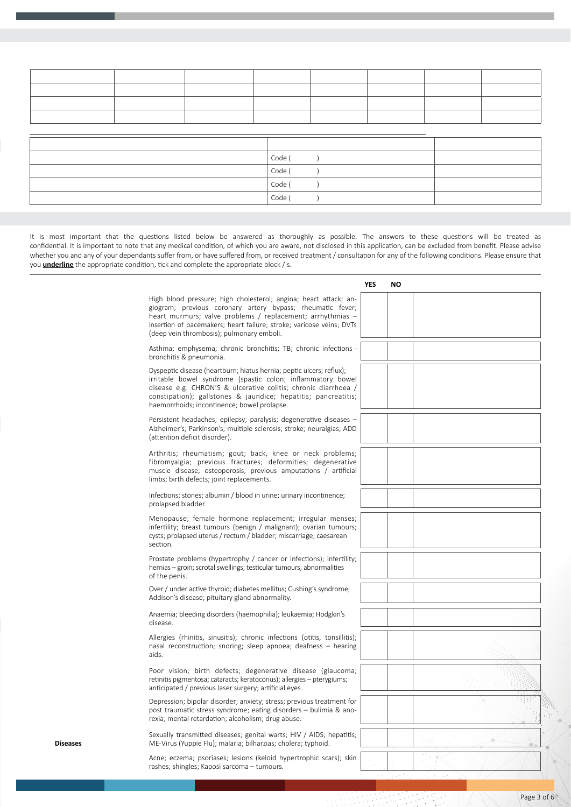| Code ( |  |
|--------|--|
| Code ( |  |
| Code ( |  |
| Code ( |  |

It is most important that the questions listed below be answered as thoroughly as possible. The answers to these questions will be treated as confidential. It is important to note that any medical condition, of which you are aware, not disclosed in this application, can be excluded from benefit. Please advise whether you and any of your dependants suffer from, or have suffered from, or received treatment / consultation for any of the following conditions. Please ensure that you **underline** the appropriate condition, tick and complete the appropriate block / s.

|                 |                                                                                                                                                                                                                                                                                                                        | <b>YES</b> | <b>NO</b> |  |  |  |
|-----------------|------------------------------------------------------------------------------------------------------------------------------------------------------------------------------------------------------------------------------------------------------------------------------------------------------------------------|------------|-----------|--|--|--|
|                 | High blood pressure; high cholesterol; angina; heart attack; an-<br>giogram; previous coronary artery bypass; rheumatic fever;<br>heart murmurs; valve problems / replacement; arrhythmias -<br>insertion of pacemakers; heart failure; stroke; varicose veins; DVTs<br>(deep vein thrombosis); pulmonary emboli.      |            |           |  |  |  |
|                 | Asthma; emphysema; chronic bronchitis; TB; chronic infections -<br>bronchitis & pneumonia.                                                                                                                                                                                                                             |            |           |  |  |  |
|                 | Dyspeptic disease (heartburn; hiatus hernia; peptic ulcers; reflux);<br>irritable bowel syndrome (spastic colon; inflammatory bowel<br>disease e.g. CHRON'S & ulcerative colitis; chronic diarrhoea /<br>constipation); gallstones & jaundice; hepatitis; pancreatitis;<br>haemorrhoids; incontinence; bowel prolapse. |            |           |  |  |  |
|                 | Persistent headaches; epilepsy; paralysis; degenerative diseases -<br>Alzheimer's; Parkinson's; multiple sclerosis; stroke; neuralgias; ADD<br>(attention deficit disorder).                                                                                                                                           |            |           |  |  |  |
|                 | Arthritis; rheumatism; gout; back, knee or neck problems;<br>fibromyalgia; previous fractures; deformities; degenerative<br>muscle disease; osteoporosis; previous amputations / artificial<br>limbs; birth defects; joint replacements.                                                                               |            |           |  |  |  |
|                 | Infections; stones; albumin / blood in urine; urinary incontinence;<br>prolapsed bladder.                                                                                                                                                                                                                              |            |           |  |  |  |
|                 | Menopause; female hormone replacement; irregular menses;<br>infertility; breast tumours (benign / malignant); ovarian tumours;<br>cysts; prolapsed uterus / rectum / bladder; miscarriage; caesarean<br>section.                                                                                                       |            |           |  |  |  |
|                 | Prostate problems (hypertrophy / cancer or infections); infertility;<br>hernias – groin; scrotal swellings; testicular tumours; abnormalities<br>of the penis.                                                                                                                                                         |            |           |  |  |  |
|                 | Over / under active thyroid; diabetes mellitus; Cushing's syndrome;<br>Addison's disease; pituitary gland abnormality.                                                                                                                                                                                                 |            |           |  |  |  |
|                 | Anaemia; bleeding disorders (haemophilia); leukaemia; Hodgkin's<br>disease.                                                                                                                                                                                                                                            |            |           |  |  |  |
|                 | Allergies (rhinitis, sinusitis); chronic infections (otitis, tonsillitis);<br>nasal reconstruction; snoring; sleep apnoea; deafness - hearing<br>aids.                                                                                                                                                                 |            |           |  |  |  |
|                 | Poor vision; birth defects; degenerative disease (glaucoma;<br>retinitis pigmentosa; cataracts; keratoconus); allergies - pterygiums;<br>anticipated / previous laser surgery; artificial eyes.                                                                                                                        |            |           |  |  |  |
|                 | Depression; bipolar disorder; anxiety; stress; previous treatment for<br>post traumatic stress syndrome; eating disorders - bulimia & ano-<br>rexia; mental retardation; alcoholism; drug abuse.                                                                                                                       |            |           |  |  |  |
| <b>Diseases</b> | Sexually transmitted diseases; genital warts; HIV / AIDS; hepatitis;<br>ME-Virus (Yuppie Flu); malaria; bilharzias; cholera; typhoid.                                                                                                                                                                                  |            |           |  |  |  |
|                 | Acne; eczema; psoriases; lesions (keloid hypertrophic scars); skin<br>rashes; shingles; Kaposi sarcoma - tumours.                                                                                                                                                                                                      |            |           |  |  |  |
|                 |                                                                                                                                                                                                                                                                                                                        |            |           |  |  |  |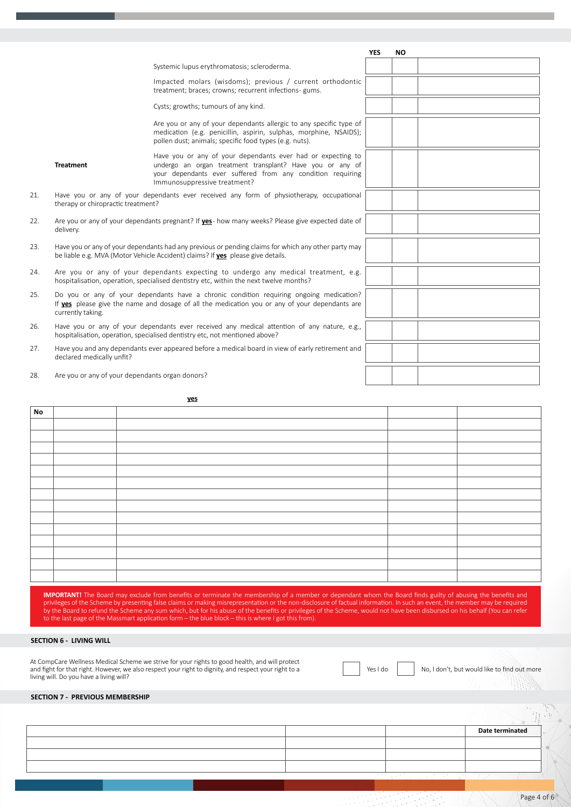|     |                                                 |                                                                                                                                                                                                                        | <b>YES</b> | <b>NO</b> |  |
|-----|-------------------------------------------------|------------------------------------------------------------------------------------------------------------------------------------------------------------------------------------------------------------------------|------------|-----------|--|
|     |                                                 | Systemic lupus erythromatosis; scleroderma.                                                                                                                                                                            |            |           |  |
|     |                                                 | Impacted molars (wisdoms); previous / current orthodontic<br>treatment; braces; crowns; recurrent infections- gums.                                                                                                    |            |           |  |
|     |                                                 | Cysts; growths; tumours of any kind.                                                                                                                                                                                   |            |           |  |
|     |                                                 | Are you or any of your dependants allergic to any specific type of<br>medication (e.g. penicillin, aspirin, sulphas, morphine, NSAIDS);<br>pollen dust; animals; specific food types (e.g. nuts).                      |            |           |  |
|     | <b>Treatment</b>                                | Have you or any of your dependants ever had or expecting to<br>undergo an organ treatment transplant? Have you or any of<br>your dependants ever suffered from any condition requiring<br>Immunosuppressive treatment? |            |           |  |
| 21. | therapy or chiropractic treatment?              | Have you or any of your dependants ever received any form of physiotherapy, occupational                                                                                                                               |            |           |  |
| 22. | delivery.                                       | Are you or any of your dependants pregnant? If yes- how many weeks? Please give expected date of                                                                                                                       |            |           |  |
| 23. |                                                 | Have you or any of your dependants had any previous or pending claims for which any other party may<br>be liable e.g. MVA (Motor Vehicle Accident) claims? If ves please give details.                                 |            |           |  |
| 24. |                                                 | Are you or any of your dependants expecting to undergo any medical treatment, e.g.<br>hospitalisation, operation, specialised dentistry etc, within the next twelve months?                                            |            |           |  |
| 25. | currently taking.                               | Do you or any of your dependants have a chronic condition requiring ongoing medication?<br>If yes please give the name and dosage of all the medication you or any of your dependants are                              |            |           |  |
| 26. |                                                 | Have you or any of your dependants ever received any medical attention of any nature, e.g.,<br>hospitalisation, operation, specialised dentistry etc, not mentioned above?                                             |            |           |  |
| 27. | declared medically unfit?                       | Have you and any dependants ever appeared before a medical board in view of early retirement and                                                                                                                       |            |           |  |
| 28. | Are you or any of your dependants organ donors? |                                                                                                                                                                                                                        |            |           |  |

**If any of the questions above have been answered yes, please supply full details below. If there is not enough space, please attach an additional page.**

| No |  |  |
|----|--|--|
|    |  |  |
|    |  |  |
|    |  |  |
|    |  |  |
|    |  |  |
|    |  |  |
|    |  |  |
|    |  |  |
|    |  |  |
|    |  |  |
|    |  |  |
|    |  |  |
|    |  |  |
|    |  |  |

**IMPORTANT!** The Board may exclude from benefits or terminate the membership of a member or dependant whom the Board finds guilty of abusing the benefits and<br>privileges of the Scheme by presenting false claims or making mi by the Board to refund the Scheme any sum which, but for his abuse of the benefits or privileges of the Scheme, would not have been disbursed on his behalf (You can refer to the last page of the Massmart application form – the blue block – this is where I got this from).

# **SECTION 6 - LIVING WILL**

At CompCare Wellness Medical Scheme we strive for your rights to good health, and will protect and fight for that right. However, we also respect your right to dignity, and respect your right to a living will. Do you have a living will?

Yes I do No, I don't, but would like to find out more

# **SECTION 7 - PREVIOUS MEMBERSHIP**

|  | <b>Date terminated</b> |  |
|--|------------------------|--|
|  |                        |  |
|  |                        |  |
|  |                        |  |
|  |                        |  |
|  |                        |  |

**Please attach certificates of membership (from previous Medical Scheme / s) to this application. If no certificate / s is attached, interchangeability could be forfeited.**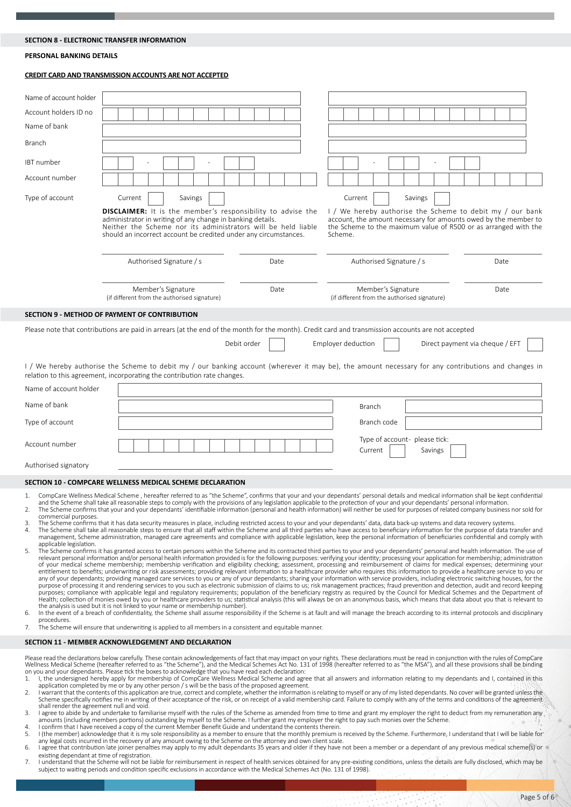# **SECTION 8 - ELECTRONIC TRANSFER INFORMATION**

#### **PERSONAL BANKING DETAILS**

#### **CREDIT CARD AND TRANSMISSION ACCOUNTS ARE NOT ACCEPTED**

| Name of account holder |                                                                                                                                                                                                                                                                                             |             |                                                                                                                                                                                                                                  |                                 |  |  |
|------------------------|---------------------------------------------------------------------------------------------------------------------------------------------------------------------------------------------------------------------------------------------------------------------------------------------|-------------|----------------------------------------------------------------------------------------------------------------------------------------------------------------------------------------------------------------------------------|---------------------------------|--|--|
| Account holders ID no  |                                                                                                                                                                                                                                                                                             |             |                                                                                                                                                                                                                                  |                                 |  |  |
| Name of bank           |                                                                                                                                                                                                                                                                                             |             |                                                                                                                                                                                                                                  |                                 |  |  |
| <b>Branch</b>          |                                                                                                                                                                                                                                                                                             |             |                                                                                                                                                                                                                                  |                                 |  |  |
| IBT number             |                                                                                                                                                                                                                                                                                             |             |                                                                                                                                                                                                                                  |                                 |  |  |
| Account number         |                                                                                                                                                                                                                                                                                             |             |                                                                                                                                                                                                                                  |                                 |  |  |
| Type of account        | Current<br>Savings<br><b>DISCLAIMER:</b> It is the member's responsibility to advise the<br>administrator in writing of any change in banking details.<br>Neither the Scheme nor its administrators will be held liable<br>should an incorrect account be credited under any circumstances. |             | Current<br>Savings<br>I / We hereby authorise the Scheme to debit my / our bank<br>account, the amount necessary for amounts owed by the member to<br>the Scheme to the maximum value of R500 or as arranged with the<br>Scheme. |                                 |  |  |
|                        | Authorised Signature / s                                                                                                                                                                                                                                                                    | Date        | Authorised Signature / s                                                                                                                                                                                                         | Date                            |  |  |
|                        | Member's Signature<br>(if different from the authorised signature)                                                                                                                                                                                                                          | Date        | Member's Signature<br>(if different from the authorised signature)                                                                                                                                                               | Date                            |  |  |
|                        | SECTION 9 - METHOD OF PAYMENT OF CONTRIBUTION                                                                                                                                                                                                                                               |             |                                                                                                                                                                                                                                  |                                 |  |  |
|                        | Please note that contributions are paid in arrears (at the end of the month for the month). Credit card and transmission accounts are not accepted                                                                                                                                          | Debit order | Employer deduction                                                                                                                                                                                                               | Direct payment via cheque / EFT |  |  |
|                        | I/We hereby authorise the Scheme to debit my/our banking account (wherever it may be), the amount necessary for any contributions and changes in<br>relation to this agreement, incorporating the contribution rate changes.                                                                |             |                                                                                                                                                                                                                                  |                                 |  |  |
| Name of account holder |                                                                                                                                                                                                                                                                                             |             |                                                                                                                                                                                                                                  |                                 |  |  |
| Name of bank           |                                                                                                                                                                                                                                                                                             |             | Branch                                                                                                                                                                                                                           |                                 |  |  |
| Type of account        |                                                                                                                                                                                                                                                                                             |             | Branch code                                                                                                                                                                                                                      |                                 |  |  |
| Account number         |                                                                                                                                                                                                                                                                                             |             | Type of account- please tick:<br>Current<br>Savings                                                                                                                                                                              |                                 |  |  |
| Authorised signatory   |                                                                                                                                                                                                                                                                                             |             |                                                                                                                                                                                                                                  |                                 |  |  |

#### **SECTION 10 - COMPCARE WELLNESS MEDICAL SCHEME DECLARATION**

- 1. CompCare Wellness Medical Scheme , hereafter referred to as "the Scheme", confirms that your and your dependants' personal details and medical information shall be kept confidential
- and the Scheme shall take all reasonable steps to comply with the provisions of any legislation applicable to the protection of your and your dependants' personal information. 2. The Scheme confirms that your and your dependants' identifiable information (personal and health information) will neither be used for purposes of related company business nor sold for commercial purposes.
- 3. The Scheme confirms that it has data security measures in place, including restricted access to your and your dependants' data, data back-up systems and data recovery systems.<br>4. The Scheme shall take all reasonable ste
- management, Scheme administration, managed care agreements and compliance with applicable legislation, keep the personal information of beneficiaries confidential and comply with applicable legislation.
- 5. The Scheme confirms it has granted access to certain persons within the Scheme and its contracted third parties to your and your dependants' personal and health information. The use of<br>relevant personal information and/ entitlement to benefits; underwriting or risk assessments; providing relevant information to a healthcare provider who requires this information to provide a healthcare service to you or<br>any of your dependants; providing m Health; collection of monies owed by you or healthcare providers to us; statistical analysis (this will always be on an anonymous basis, which means that data about you that is relevant to
- the analysis is used but it is not linked to your name or membership number).<br>6. In the event of a breach of confidentiality, the Scheme shall assume responsibility if the Scheme is at fault and will manage the breach acco procedures.
- 7. The Scheme will ensure that underwriting is applied to all members in a consistent and equitable manner.

#### **SECTION 11 - MEMBER ACKNOWLEDGEMENT AND DECLARATION**

Please read the declarations below carefully. These contain acknowledgements of fact that may impact on your rights. These declarations must be read in conjunction with the rules of CompCare<br>Wellness Medical Scheme (hereaf on you and your dependants. Please tick the boxes to acknowledge that you have read each declaration:<br>1. I, the undersigned hereby apply for membership of CompCare Wellness Medical Scheme and agree that all answers and inf

- application completed by me or by any other person / s will be the basis of the proposed agreement.
- 2. I warrant that the contents of this application are true, correct and complete, whether the information is relating to myself or any of my listed dependants. No cover will be granted unless the sthe free and comply sthe shall render the agreement null and void.<br>3. I agree to abide by and undertake to familiarise myself with the rules of the Scheme as amended from time to time and grant my employer the right to deduct from my remuneration
- amounts (including members portions) outstanding by myself to the Scheme. I further grant my employer the right to pay such monies over the Scheme.<br>4. I confirm that I have received a copy of the current Member Benefit Gui
- 
- 5. I (the member) acknowledge that it is my sole responsibility as a member to ensure that the monthly premium is received by the Scheme. Furthermore, I understand that I will be liable for<br>any legal costs incurred in the Example that contribution late joiner penalties may apply to my adult dependants 35 years and older if they have not been a member or a dependant of any previous medical scheme(s) or
- existing dependant at time of registration.
- 7. I understand that the Scheme will not be liable for reimbursement in respect of health services obtained for any pre-existing conditions, unless the details are fully disclosed, which may be subject to waiting periods and condition specific exclusions in accordance with the Medical Schemes Act (No. 131 of 1998).